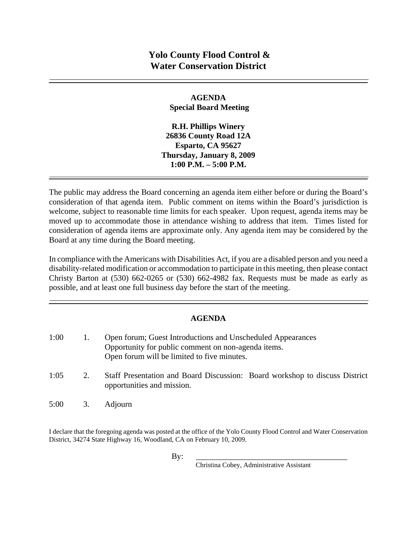#### **AGENDA Special Board Meeting**

**R.H. Phillips Winery 26836 County Road 12A Esparto, CA 95627 Thursday, January 8, 2009 1:00 P.M. – 5:00 P.M.** 

The public may address the Board concerning an agenda item either before or during the Board's consideration of that agenda item. Public comment on items within the Board's jurisdiction is welcome, subject to reasonable time limits for each speaker. Upon request, agenda items may be moved up to accommodate those in attendance wishing to address that item. Times listed for consideration of agenda items are approximate only. Any agenda item may be considered by the Board at any time during the Board meeting.

In compliance with the Americans with Disabilities Act, if you are a disabled person and you need a disability-related modification or accommodation to participate in this meeting, then please contact Christy Barton at  $(530)$  662-0265 or  $(530)$  662-4982 fax. Requests must be made as early as possible, and at least one full business day before the start of the meeting.

## **AGENDA**

| 1:00 |    | Open forum; Guest Introductions and Unscheduled Appearances<br>Opportunity for public comment on non-agenda items.<br>Open forum will be limited to five minutes. |
|------|----|-------------------------------------------------------------------------------------------------------------------------------------------------------------------|
| 1:05 | 2. | Staff Presentation and Board Discussion: Board workshop to discuss District<br>opportunities and mission.                                                         |
| 5:00 | 3. | Adjourn                                                                                                                                                           |

I declare that the foregoing agenda was posted at the office of the Yolo County Flood Control and Water Conservation District, 34274 State Highway 16, Woodland, CA on February 10, 2009.

Christina Cobey, Administrative Assistant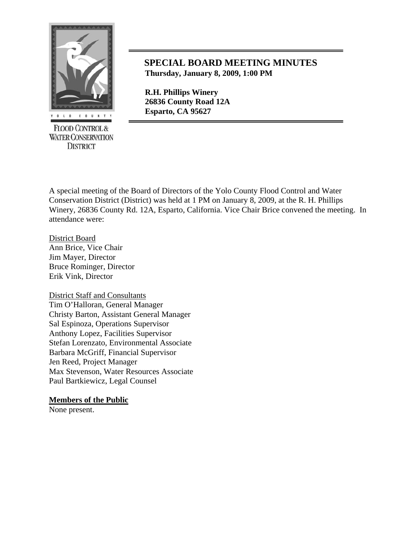

**FLOOD CONTROL & WATER CONSERVATION DISTRICT** 

# **SPECIAL BOARD MEETING MINUTES Thursday, January 8, 2009, 1:00 PM**

 **R.H. Phillips Winery 26836 County Road 12A** 

A special meeting of the Board of Directors of the Yolo County Flood Control and Water Conservation District (District) was held at 1 PM on January 8, 2009, at the R. H. Phillips Winery, 26836 County Rd. 12A, Esparto, California. Vice Chair Brice convened the meeting. In attendance were:

District Board Ann Brice, Vice Chair Jim Mayer, Director Bruce Rominger, Director Erik Vink, Director

District Staff and Consultants Tim O'Halloran, General Manager Christy Barton, Assistant General Manager Sal Espinoza, Operations Supervisor Anthony Lopez, Facilities Supervisor Stefan Lorenzato, Environmental Associate Barbara McGriff, Financial Supervisor Jen Reed, Project Manager Max Stevenson, Water Resources Associate Paul Bartkiewicz, Legal Counsel

## **Members of the Public**

None present.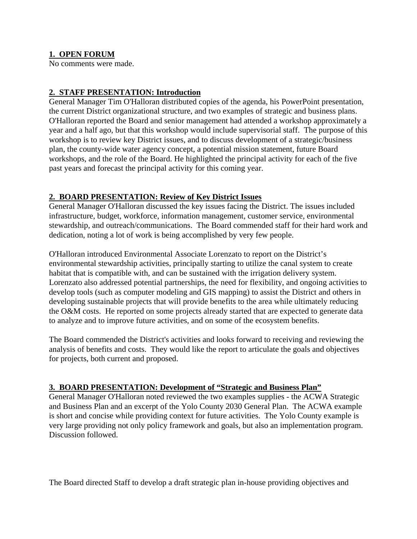## **1. OPEN FORUM**

No comments were made.

## **2. STAFF PRESENTATION: Introduction**

General Manager Tim O'Halloran distributed copies of the agenda, his PowerPoint presentation, the current District organizational structure, and two examples of strategic and business plans. O'Halloran reported the Board and senior management had attended a workshop approximately a year and a half ago, but that this workshop would include supervisorial staff. The purpose of this workshop is to review key District issues, and to discuss development of a strategic/business plan, the county-wide water agency concept, a potential mission statement, future Board workshops, and the role of the Board. He highlighted the principal activity for each of the five past years and forecast the principal activity for this coming year.

## **2. BOARD PRESENTATION: Review of Key District Issues**

General Manager O'Halloran discussed the key issues facing the District. The issues included infrastructure, budget, workforce, information management, customer service, environmental stewardship, and outreach/communications. The Board commended staff for their hard work and dedication, noting a lot of work is being accomplished by very few people.

O'Halloran introduced Environmental Associate Lorenzato to report on the District's environmental stewardship activities, principally starting to utilize the canal system to create habitat that is compatible with, and can be sustained with the irrigation delivery system. Lorenzato also addressed potential partnerships, the need for flexibility, and ongoing activities to develop tools (such as computer modeling and GIS mapping) to assist the District and others in developing sustainable projects that will provide benefits to the area while ultimately reducing the O&M costs. He reported on some projects already started that are expected to generate data to analyze and to improve future activities, and on some of the ecosystem benefits.

The Board commended the District's activities and looks forward to receiving and reviewing the analysis of benefits and costs. They would like the report to articulate the goals and objectives for projects, both current and proposed.

#### **3. BOARD PRESENTATION: Development of "Strategic and Business Plan"**

General Manager O'Halloran noted reviewed the two examples supplies - the ACWA Strategic and Business Plan and an excerpt of the Yolo County 2030 General Plan. The ACWA example is short and concise while providing context for future activities. The Yolo County example is very large providing not only policy framework and goals, but also an implementation program. Discussion followed.

The Board directed Staff to develop a draft strategic plan in-house providing objectives and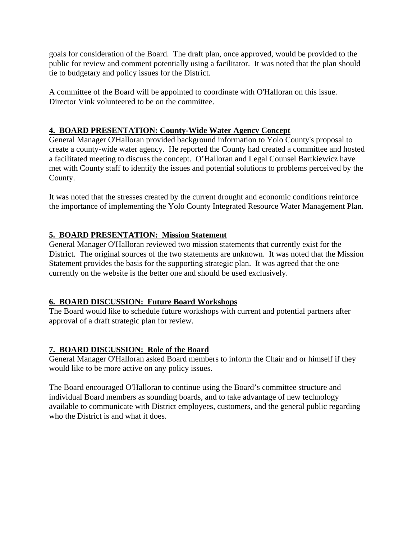goals for consideration of the Board. The draft plan, once approved, would be provided to the public for review and comment potentially using a facilitator. It was noted that the plan should tie to budgetary and policy issues for the District.

A committee of the Board will be appointed to coordinate with O'Halloran on this issue. Director Vink volunteered to be on the committee.

## **4. BOARD PRESENTATION: County-Wide Water Agency Concept**

General Manager O'Halloran provided background information to Yolo County's proposal to create a county-wide water agency. He reported the County had created a committee and hosted a facilitated meeting to discuss the concept. O'Halloran and Legal Counsel Bartkiewicz have met with County staff to identify the issues and potential solutions to problems perceived by the County.

It was noted that the stresses created by the current drought and economic conditions reinforce the importance of implementing the Yolo County Integrated Resource Water Management Plan.

## **5. BOARD PRESENTATION: Mission Statement**

General Manager O'Halloran reviewed two mission statements that currently exist for the District. The original sources of the two statements are unknown. It was noted that the Mission Statement provides the basis for the supporting strategic plan. It was agreed that the one currently on the website is the better one and should be used exclusively.

## **6. BOARD DISCUSSION: Future Board Workshops**

The Board would like to schedule future workshops with current and potential partners after approval of a draft strategic plan for review.

## **7. BOARD DISCUSSION: Role of the Board**

General Manager O'Halloran asked Board members to inform the Chair and or himself if they would like to be more active on any policy issues.

The Board encouraged O'Halloran to continue using the Board's committee structure and individual Board members as sounding boards, and to take advantage of new technology available to communicate with District employees, customers, and the general public regarding who the District is and what it does.